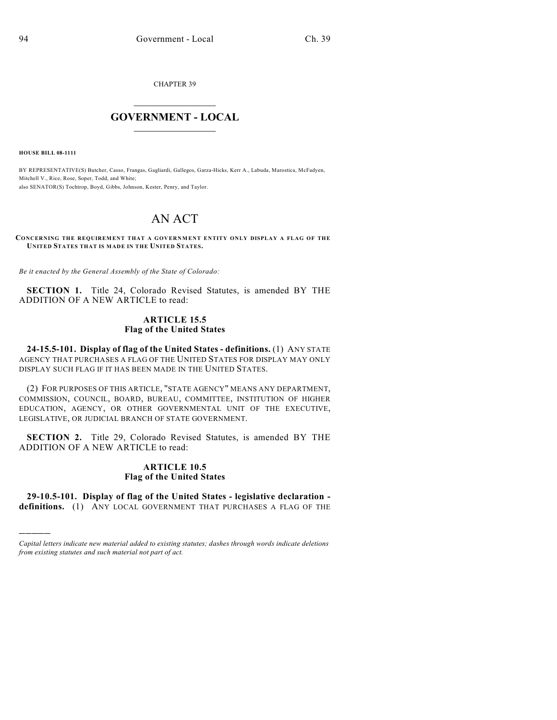CHAPTER 39

## $\mathcal{L}_\text{max}$  . The set of the set of the set of the set of the set of the set of the set of the set of the set of the set of the set of the set of the set of the set of the set of the set of the set of the set of the set **GOVERNMENT - LOCAL**  $\_$

**HOUSE BILL 08-1111**

)))))

BY REPRESENTATIVE(S) Butcher, Casso, Frangas, Gagliardi, Gallegos, Garza-Hicks, Kerr A., Labuda, Marostica, McFadyen, Mitchell V., Rice, Rose, Soper, Todd, and White; also SENATOR(S) Tochtrop, Boyd, Gibbs, Johnson, Kester, Penry, and Taylor.

## AN ACT

**CONCERNING THE REQUIREMENT THAT A GOVERNMENT ENTITY ONLY DISPLAY A FLAG OF THE UNITED STATES THAT IS MADE IN THE UNITED STATES.**

*Be it enacted by the General Assembly of the State of Colorado:*

**SECTION 1.** Title 24, Colorado Revised Statutes, is amended BY THE ADDITION OF A NEW ARTICLE to read:

## **ARTICLE 15.5 Flag of the United States**

**24-15.5-101. Display of flag of the United States - definitions.** (1) ANY STATE AGENCY THAT PURCHASES A FLAG OF THE UNITED STATES FOR DISPLAY MAY ONLY DISPLAY SUCH FLAG IF IT HAS BEEN MADE IN THE UNITED STATES.

(2) FOR PURPOSES OF THIS ARTICLE, "STATE AGENCY" MEANS ANY DEPARTMENT, COMMISSION, COUNCIL, BOARD, BUREAU, COMMITTEE, INSTITUTION OF HIGHER EDUCATION, AGENCY, OR OTHER GOVERNMENTAL UNIT OF THE EXECUTIVE, LEGISLATIVE, OR JUDICIAL BRANCH OF STATE GOVERNMENT.

**SECTION 2.** Title 29, Colorado Revised Statutes, is amended BY THE ADDITION OF A NEW ARTICLE to read:

## **ARTICLE 10.5 Flag of the United States**

**29-10.5-101. Display of flag of the United States - legislative declaration definitions.** (1) ANY LOCAL GOVERNMENT THAT PURCHASES A FLAG OF THE

*Capital letters indicate new material added to existing statutes; dashes through words indicate deletions from existing statutes and such material not part of act.*